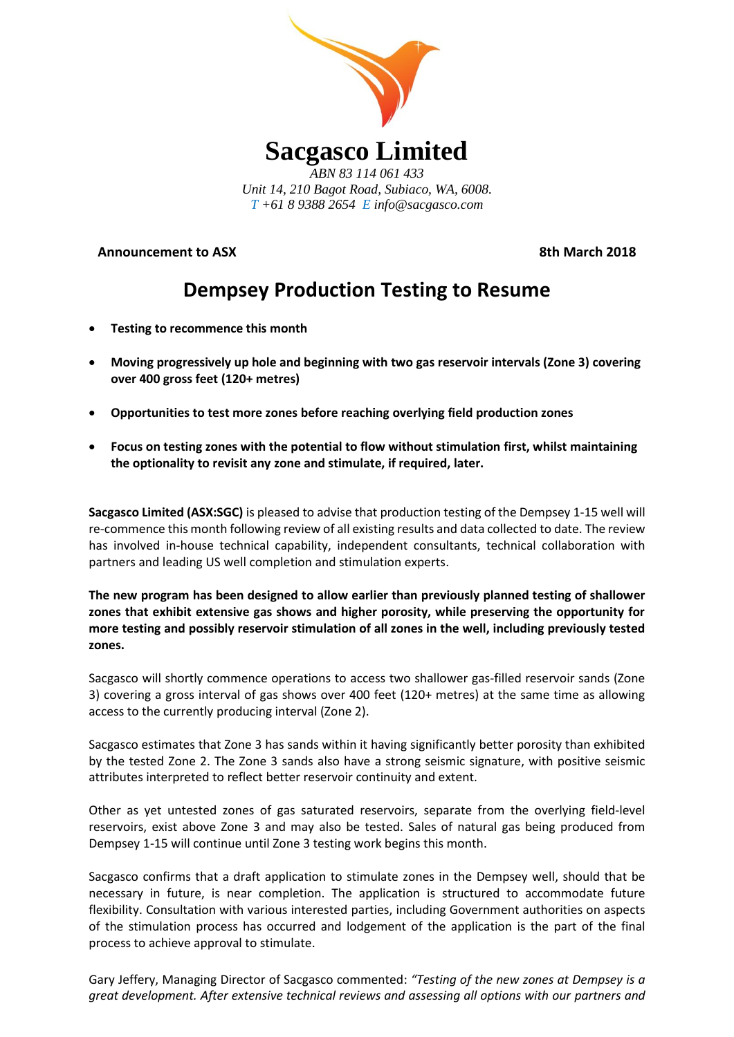

**Announcement to ASX** 8th March 2018

# **Dempsey Production Testing to Resume**

- **Testing to recommence this month**
- **Moving progressively up hole and beginning with two gas reservoir intervals (Zone 3) covering over 400 gross feet (120+ metres)**
- **Opportunities to test more zones before reaching overlying field production zones**
- **Focus on testing zones with the potential to flow without stimulation first, whilst maintaining the optionality to revisit any zone and stimulate, if required, later.**

**Sacgasco Limited (ASX:SGC)** is pleased to advise that production testing of the Dempsey 1-15 well will re-commence this month following review of all existing results and data collected to date. The review has involved in-house technical capability, independent consultants, technical collaboration with partners and leading US well completion and stimulation experts.

**The new program has been designed to allow earlier than previously planned testing of shallower zones that exhibit extensive gas shows and higher porosity, while preserving the opportunity for more testing and possibly reservoir stimulation of all zones in the well, including previously tested zones.** 

Sacgasco will shortly commence operations to access two shallower gas-filled reservoir sands (Zone 3) covering a gross interval of gas shows over 400 feet (120+ metres) at the same time as allowing access to the currently producing interval (Zone 2).

Sacgasco estimates that Zone 3 has sands within it having significantly better porosity than exhibited by the tested Zone 2. The Zone 3 sands also have a strong seismic signature, with positive seismic attributes interpreted to reflect better reservoir continuity and extent.

Other as yet untested zones of gas saturated reservoirs, separate from the overlying field-level reservoirs, exist above Zone 3 and may also be tested. Sales of natural gas being produced from Dempsey 1-15 will continue until Zone 3 testing work begins this month.

Sacgasco confirms that a draft application to stimulate zones in the Dempsey well, should that be necessary in future, is near completion. The application is structured to accommodate future flexibility. Consultation with various interested parties, including Government authorities on aspects of the stimulation process has occurred and lodgement of the application is the part of the final process to achieve approval to stimulate.

Gary Jeffery, Managing Director of Sacgasco commented: *"Testing of the new zones at Dempsey is a great development. After extensive technical reviews and assessing all options with our partners and*